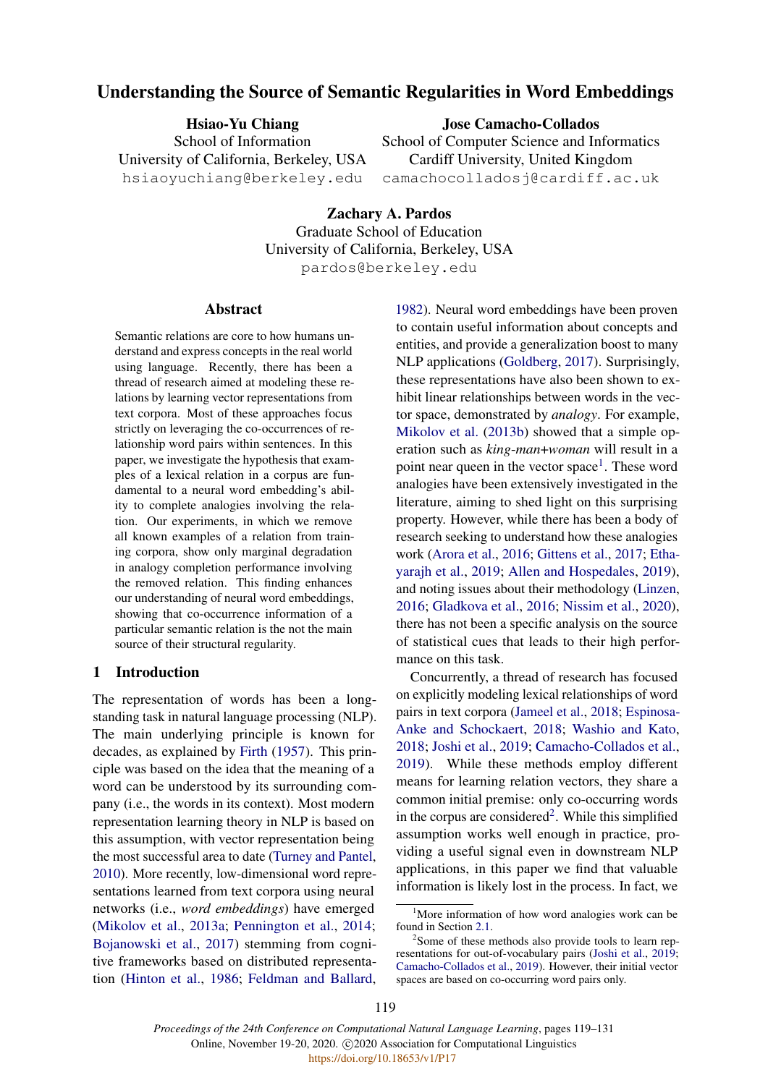# <span id="page-0-0"></span>Understanding the Source of Semantic Regularities in Word Embeddings

Hsiao-Yu Chiang School of Information University of California, Berkeley, USA hsiaoyuchiang@berkeley.edu

Jose Camacho-Collados

School of Computer Science and Informatics Cardiff University, United Kingdom camachocolladosj@cardiff.ac.uk

Zachary A. Pardos Graduate School of Education University of California, Berkeley, USA pardos@berkeley.edu

#### Abstract

Semantic relations are core to how humans understand and express concepts in the real world using language. Recently, there has been a thread of research aimed at modeling these relations by learning vector representations from text corpora. Most of these approaches focus strictly on leveraging the co-occurrences of relationship word pairs within sentences. In this paper, we investigate the hypothesis that examples of a lexical relation in a corpus are fundamental to a neural word embedding's ability to complete analogies involving the relation. Our experiments, in which we remove all known examples of a relation from training corpora, show only marginal degradation in analogy completion performance involving the removed relation. This finding enhances our understanding of neural word embeddings, showing that co-occurrence information of a particular semantic relation is the not the main source of their structural regularity.

#### 1 Introduction

The representation of words has been a longstanding task in natural language processing (NLP). The main underlying principle is known for decades, as explained by [Firth](#page-9-0) [\(1957\)](#page-9-0). This principle was based on the idea that the meaning of a word can be understood by its surrounding company (i.e., the words in its context). Most modern representation learning theory in NLP is based on this assumption, with vector representation being the most successful area to date [\(Turney and Pantel,](#page-10-0) [2010\)](#page-10-0). More recently, low-dimensional word representations learned from text corpora using neural networks (i.e., *word embeddings*) have emerged [\(Mikolov et al.,](#page-9-1) [2013a;](#page-9-1) [Pennington et al.,](#page-10-1) [2014;](#page-10-1) [Bojanowski et al.,](#page-8-0) [2017\)](#page-8-0) stemming from cognitive frameworks based on distributed representation [\(Hinton et al.,](#page-9-2) [1986;](#page-9-2) [Feldman and Ballard,](#page-9-3)

[1982\)](#page-9-3). Neural word embeddings have been proven to contain useful information about concepts and entities, and provide a generalization boost to many NLP applications [\(Goldberg,](#page-9-4) [2017\)](#page-9-4). Surprisingly, these representations have also been shown to exhibit linear relationships between words in the vector space, demonstrated by *analogy*. For example, [Mikolov et al.](#page-9-5) [\(2013b\)](#page-9-5) showed that a simple operation such as *king*-*man*+*woman* will result in a point near queen in the vector space<sup>1</sup>. These word analogies have been extensively investigated in the literature, aiming to shed light on this surprising property. However, while there has been a body of research seeking to understand how these analogies work [\(Arora et al.,](#page-8-1) [2016;](#page-8-1) [Gittens et al.,](#page-9-6) [2017;](#page-9-6) [Etha](#page-9-7)[yarajh et al.,](#page-9-7) [2019;](#page-9-7) [Allen and Hospedales,](#page-8-2) [2019\)](#page-8-2), and noting issues about their methodology [\(Linzen,](#page-9-8) [2016;](#page-9-8) [Gladkova et al.,](#page-9-9) [2016;](#page-9-9) [Nissim et al.,](#page-10-2) [2020\)](#page-10-2), there has not been a specific analysis on the source of statistical cues that leads to their high performance on this task.

Concurrently, a thread of research has focused on explicitly modeling lexical relationships of word pairs in text corpora [\(Jameel et al.,](#page-9-10) [2018;](#page-9-10) [Espinosa-](#page-8-3)[Anke and Schockaert,](#page-8-3) [2018;](#page-8-3) [Washio and Kato,](#page-10-3) [2018;](#page-10-3) [Joshi et al.,](#page-9-11) [2019;](#page-9-11) [Camacho-Collados et al.,](#page-8-4) [2019\)](#page-8-4). While these methods employ different means for learning relation vectors, they share a common initial premise: only co-occurring words in the corpus are considered<sup>2</sup>. While this simplified assumption works well enough in practice, providing a useful signal even in downstream NLP applications, in this paper we find that valuable information is likely lost in the process. In fact, we

<sup>&</sup>lt;sup>1</sup>More information of how word analogies work can be found in Section [2.1.](#page-1-0)

<sup>&</sup>lt;sup>2</sup>Some of these methods also provide tools to learn representations for out-of-vocabulary pairs [\(Joshi et al.,](#page-9-11) [2019;](#page-9-11) [Camacho-Collados et al.,](#page-8-4) [2019\)](#page-8-4). However, their initial vector spaces are based on co-occurring word pairs only.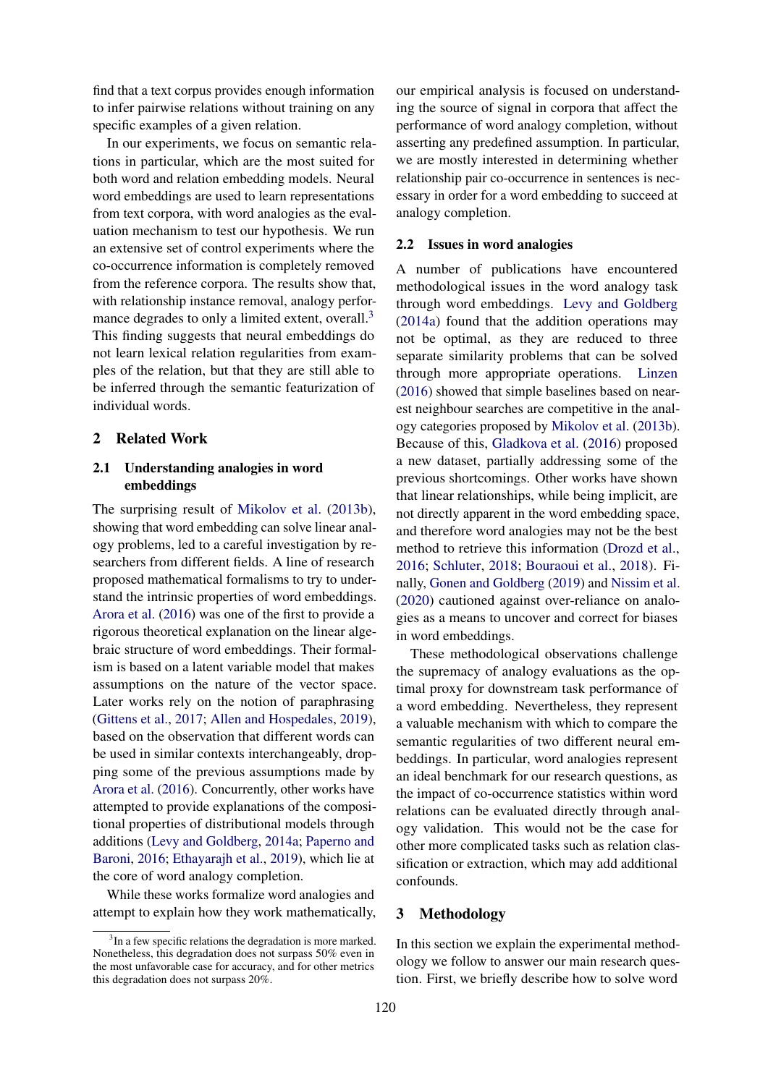find that a text corpus provides enough information to infer pairwise relations without training on any specific examples of a given relation.

In our experiments, we focus on semantic relations in particular, which are the most suited for both word and relation embedding models. Neural word embeddings are used to learn representations from text corpora, with word analogies as the evaluation mechanism to test our hypothesis. We run an extensive set of control experiments where the co-occurrence information is completely removed from the reference corpora. The results show that, with relationship instance removal, analogy perfor-mance degrades to only a limited extent, overall.<sup>[3](#page-0-0)</sup> This finding suggests that neural embeddings do not learn lexical relation regularities from examples of the relation, but that they are still able to be inferred through the semantic featurization of individual words.

#### 2 Related Work

## <span id="page-1-0"></span>2.1 Understanding analogies in word embeddings

The surprising result of [Mikolov et al.](#page-9-5) [\(2013b\)](#page-9-5), showing that word embedding can solve linear analogy problems, led to a careful investigation by researchers from different fields. A line of research proposed mathematical formalisms to try to understand the intrinsic properties of word embeddings. [Arora et al.](#page-8-1) [\(2016\)](#page-8-1) was one of the first to provide a rigorous theoretical explanation on the linear algebraic structure of word embeddings. Their formalism is based on a latent variable model that makes assumptions on the nature of the vector space. Later works rely on the notion of paraphrasing [\(Gittens et al.,](#page-9-6) [2017;](#page-9-6) [Allen and Hospedales,](#page-8-2) [2019\)](#page-8-2), based on the observation that different words can be used in similar contexts interchangeably, dropping some of the previous assumptions made by [Arora et al.](#page-8-1) [\(2016\)](#page-8-1). Concurrently, other works have attempted to provide explanations of the compositional properties of distributional models through additions [\(Levy and Goldberg,](#page-9-12) [2014a;](#page-9-12) [Paperno and](#page-10-4) [Baroni,](#page-10-4) [2016;](#page-10-4) [Ethayarajh et al.,](#page-9-7) [2019\)](#page-9-7), which lie at the core of word analogy completion.

While these works formalize word analogies and attempt to explain how they work mathematically,

our empirical analysis is focused on understanding the source of signal in corpora that affect the performance of word analogy completion, without asserting any predefined assumption. In particular, we are mostly interested in determining whether relationship pair co-occurrence in sentences is necessary in order for a word embedding to succeed at analogy completion.

#### 2.2 Issues in word analogies

A number of publications have encountered methodological issues in the word analogy task through word embeddings. [Levy and Goldberg](#page-9-12) [\(2014a\)](#page-9-12) found that the addition operations may not be optimal, as they are reduced to three separate similarity problems that can be solved through more appropriate operations. [Linzen](#page-9-8) [\(2016\)](#page-9-8) showed that simple baselines based on nearest neighbour searches are competitive in the analogy categories proposed by [Mikolov et al.](#page-9-5) [\(2013b\)](#page-9-5). Because of this, [Gladkova et al.](#page-9-9) [\(2016\)](#page-9-9) proposed a new dataset, partially addressing some of the previous shortcomings. Other works have shown that linear relationships, while being implicit, are not directly apparent in the word embedding space, and therefore word analogies may not be the best method to retrieve this information [\(Drozd et al.,](#page-8-5) [2016;](#page-8-5) [Schluter,](#page-10-5) [2018;](#page-10-5) [Bouraoui et al.,](#page-8-6) [2018\)](#page-8-6). Finally, [Gonen and Goldberg](#page-9-13) [\(2019\)](#page-9-13) and [Nissim et al.](#page-10-2) [\(2020\)](#page-10-2) cautioned against over-reliance on analogies as a means to uncover and correct for biases in word embeddings.

These methodological observations challenge the supremacy of analogy evaluations as the optimal proxy for downstream task performance of a word embedding. Nevertheless, they represent a valuable mechanism with which to compare the semantic regularities of two different neural embeddings. In particular, word analogies represent an ideal benchmark for our research questions, as the impact of co-occurrence statistics within word relations can be evaluated directly through analogy validation. This would not be the case for other more complicated tasks such as relation classification or extraction, which may add additional confounds.

#### 3 Methodology

In this section we explain the experimental methodology we follow to answer our main research question. First, we briefly describe how to solve word

<sup>&</sup>lt;sup>3</sup>In a few specific relations the degradation is more marked. Nonetheless, this degradation does not surpass 50% even in the most unfavorable case for accuracy, and for other metrics this degradation does not surpass 20%.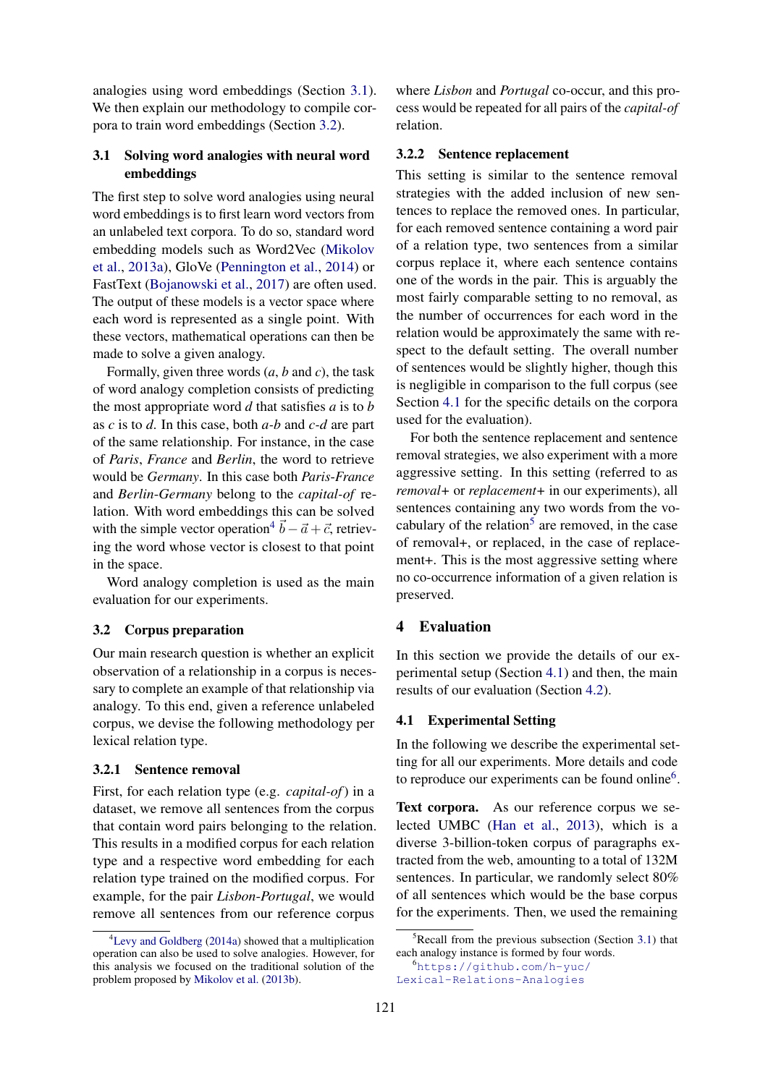analogies using word embeddings (Section [3.1\)](#page-2-0). We then explain our methodology to compile corpora to train word embeddings (Section [3.2\)](#page-2-1).

## <span id="page-2-0"></span>3.1 Solving word analogies with neural word embeddings

The first step to solve word analogies using neural word embeddings is to first learn word vectors from an unlabeled text corpora. To do so, standard word embedding models such as Word2Vec [\(Mikolov](#page-9-1) [et al.,](#page-9-1) [2013a\)](#page-9-1), GloVe [\(Pennington et al.,](#page-10-1) [2014\)](#page-10-1) or FastText [\(Bojanowski et al.,](#page-8-0) [2017\)](#page-8-0) are often used. The output of these models is a vector space where each word is represented as a single point. With these vectors, mathematical operations can then be made to solve a given analogy.

Formally, given three words (*a*, *b* and *c*), the task of word analogy completion consists of predicting the most appropriate word *d* that satisfies *a* is to *b* as *c* is to *d*. In this case, both *a-b* and *c-d* are part of the same relationship. For instance, in the case of *Paris*, *France* and *Berlin*, the word to retrieve would be *Germany*. In this case both *Paris*-*France* and *Berlin*-*Germany* belong to the *capital-of* relation. With word embeddings this can be solved with the simple vector operation<sup>[4](#page-0-0)</sup>  $\vec{b} - \vec{a} + \vec{c}$ , retrieving the word whose vector is closest to that point in the space.

Word analogy completion is used as the main evaluation for our experiments.

## <span id="page-2-1"></span>3.2 Corpus preparation

Our main research question is whether an explicit observation of a relationship in a corpus is necessary to complete an example of that relationship via analogy. To this end, given a reference unlabeled corpus, we devise the following methodology per lexical relation type.

#### <span id="page-2-4"></span>3.2.1 Sentence removal

First, for each relation type (e.g. *capital-of*) in a dataset, we remove all sentences from the corpus that contain word pairs belonging to the relation. This results in a modified corpus for each relation type and a respective word embedding for each relation type trained on the modified corpus. For example, for the pair *Lisbon*-*Portugal*, we would remove all sentences from our reference corpus

where *Lisbon* and *Portugal* co-occur, and this process would be repeated for all pairs of the *capital-of* relation.

#### <span id="page-2-3"></span>3.2.2 Sentence replacement

This setting is similar to the sentence removal strategies with the added inclusion of new sentences to replace the removed ones. In particular, for each removed sentence containing a word pair of a relation type, two sentences from a similar corpus replace it, where each sentence contains one of the words in the pair. This is arguably the most fairly comparable setting to no removal, as the number of occurrences for each word in the relation would be approximately the same with respect to the default setting. The overall number of sentences would be slightly higher, though this is negligible in comparison to the full corpus (see Section [4.1](#page-2-2) for the specific details on the corpora used for the evaluation).

For both the sentence replacement and sentence removal strategies, we also experiment with a more aggressive setting. In this setting (referred to as *removal+* or *replacement+* in our experiments), all sentences containing any two words from the vo-cabulary of the relation<sup>[5](#page-0-0)</sup> are removed, in the case of removal+, or replaced, in the case of replacement+. This is the most aggressive setting where no co-occurrence information of a given relation is preserved.

## 4 Evaluation

In this section we provide the details of our experimental setup (Section [4.1\)](#page-2-2) and then, the main results of our evaluation (Section [4.2\)](#page-3-0).

#### <span id="page-2-2"></span>4.1 Experimental Setting

In the following we describe the experimental setting for all our experiments. More details and code to reproduce our experiments can be found online<sup>[6](#page-0-0)</sup>.

Text corpora. As our reference corpus we selected UMBC [\(Han et al.,](#page-9-14) [2013\)](#page-9-14), which is a diverse 3-billion-token corpus of paragraphs extracted from the web, amounting to a total of 132M sentences. In particular, we randomly select 80% of all sentences which would be the base corpus for the experiments. Then, we used the remaining

<sup>&</sup>lt;sup>4</sup>[Levy and Goldberg](#page-9-12) [\(2014a\)](#page-9-12) showed that a multiplication operation can also be used to solve analogies. However, for this analysis we focused on the traditional solution of the problem proposed by [Mikolov et al.](#page-9-5) [\(2013b\)](#page-9-5).

 ${}^{5}$ Recall from the previous subsection (Section [3.1\)](#page-2-0) that each analogy instance is formed by four words.

<sup>6</sup>[https://github.com/h-yuc/](https://github.com/h-yuc/Lexical-Relations-Analogies) [Lexical-Relations-Analogies](https://github.com/h-yuc/Lexical-Relations-Analogies)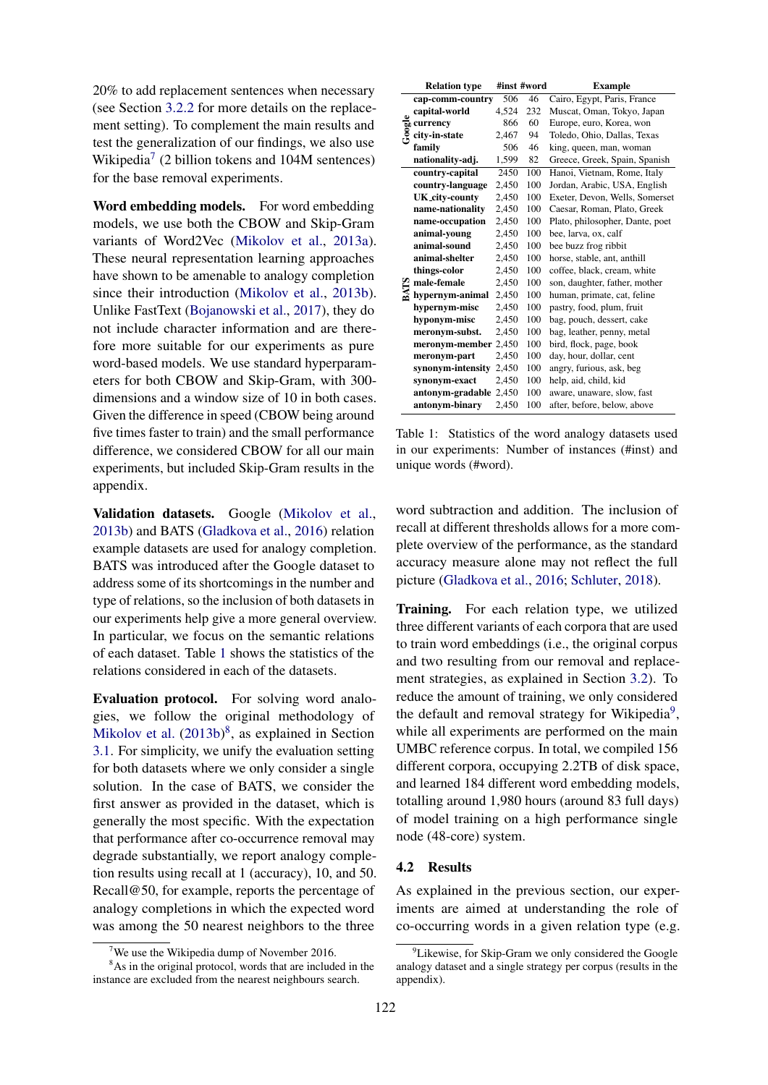20% to add replacement sentences when necessary (see Section [3.2.2](#page-2-3) for more details on the replacement setting). To complement the main results and test the generalization of our findings, we also use Wikipedia<sup>[7](#page-0-0)</sup> (2 billion tokens and 104M sentences) for the base removal experiments.

Word embedding models. For word embedding models, we use both the CBOW and Skip-Gram variants of Word2Vec [\(Mikolov et al.,](#page-9-1) [2013a\)](#page-9-1). These neural representation learning approaches have shown to be amenable to analogy completion since their introduction [\(Mikolov et al.,](#page-9-5) [2013b\)](#page-9-5). Unlike FastText [\(Bojanowski et al.,](#page-8-0) [2017\)](#page-8-0), they do not include character information and are therefore more suitable for our experiments as pure word-based models. We use standard hyperparameters for both CBOW and Skip-Gram, with 300 dimensions and a window size of 10 in both cases. Given the difference in speed (CBOW being around five times faster to train) and the small performance difference, we considered CBOW for all our main experiments, but included Skip-Gram results in the appendix.

Validation datasets. Google [\(Mikolov et al.,](#page-9-5) [2013b\)](#page-9-5) and BATS [\(Gladkova et al.,](#page-9-9) [2016\)](#page-9-9) relation example datasets are used for analogy completion. BATS was introduced after the Google dataset to address some of its shortcomings in the number and type of relations, so the inclusion of both datasets in our experiments help give a more general overview. In particular, we focus on the semantic relations of each dataset. Table [1](#page-3-1) shows the statistics of the relations considered in each of the datasets.

Evaluation protocol. For solving word analogies, we follow the original methodology of [Mikolov et al.](#page-9-5)  $(2013b)^8$  $(2013b)^8$  $(2013b)^8$ , as explained in Section [3.1.](#page-2-0) For simplicity, we unify the evaluation setting for both datasets where we only consider a single solution. In the case of BATS, we consider the first answer as provided in the dataset, which is generally the most specific. With the expectation that performance after co-occurrence removal may degrade substantially, we report analogy completion results using recall at 1 (accuracy), 10, and 50. Recall@50, for example, reports the percentage of analogy completions in which the expected word was among the 50 nearest neighbors to the three

<span id="page-3-1"></span>

|   | <b>Relation type</b>                                                 |       | #inst #word | <b>Example</b>                  |
|---|----------------------------------------------------------------------|-------|-------------|---------------------------------|
|   | cap-comm-country                                                     | 506   | 46          | Cairo, Egypt, Paris, France     |
|   | capital-world                                                        | 4.524 | 232         | Muscat, Oman, Tokyo, Japan      |
|   |                                                                      | 866   | 60          | Europe, euro, Korea, won        |
|   | $\frac{6}{50}$ currency<br>$\frac{6}{5}$ city-in-st<br>city-in-state | 2,467 | 94          | Toledo, Ohio, Dallas, Texas     |
|   | family                                                               | 506   | 46          | king, queen, man, woman         |
|   | nationality-adj.                                                     | 1,599 | 82          | Greece, Greek, Spain, Spanish   |
|   | country-capital                                                      | 2450  | 100         | Hanoi, Vietnam, Rome, Italy     |
|   | country-language                                                     | 2,450 | 100         | Jordan, Arabic, USA, English    |
|   | <b>UK_city-county</b>                                                | 2,450 | 100         | Exeter, Devon, Wells, Somerset  |
|   | name-nationality                                                     | 2,450 | 100         | Caesar, Roman, Plato, Greek     |
|   | name-occupation                                                      | 2,450 | 100         | Plato, philosopher, Dante, poet |
|   | animal-young                                                         | 2,450 | 100         | bee, larva, ox, calf            |
|   | animal-sound                                                         | 2,450 | 100         | bee buzz frog ribbit            |
|   | animal-shelter                                                       | 2,450 | 100         | horse, stable, ant, anthill     |
|   | things-color                                                         | 2,450 | 100         | coffee, black, cream, white     |
|   | male-female                                                          | 2,450 | 100         | son, daughter, father, mother   |
| 2 | hypernym-animal                                                      | 2,450 | 100         | human, primate, cat, feline     |
|   | hypernym-misc                                                        | 2.450 | 100         | pastry, food, plum, fruit       |
|   | hyponym-misc                                                         | 2,450 | 100         | bag, pouch, dessert, cake       |
|   | meronym-subst.                                                       | 2,450 | 100         | bag, leather, penny, metal      |
|   | meronym-member 2,450                                                 |       | 100         | bird, flock, page, book         |
|   | meronym-part                                                         | 2,450 | 100         | day, hour, dollar, cent         |
|   | synonym-intensity                                                    | 2,450 | 100         | angry, furious, ask, beg        |
|   | synonym-exact                                                        | 2,450 | 100         | help, aid, child, kid           |
|   | antonym-gradable                                                     | 2,450 | 100         | aware, unaware, slow, fast      |
|   | antonym-binary                                                       | 2,450 | 100         | after, before, below, above     |

Table 1: Statistics of the word analogy datasets used in our experiments: Number of instances (#inst) and unique words (#word).

word subtraction and addition. The inclusion of recall at different thresholds allows for a more complete overview of the performance, as the standard accuracy measure alone may not reflect the full picture [\(Gladkova et al.,](#page-9-9) [2016;](#page-9-9) [Schluter,](#page-10-5) [2018\)](#page-10-5).

Training. For each relation type, we utilized three different variants of each corpora that are used to train word embeddings (i.e., the original corpus and two resulting from our removal and replacement strategies, as explained in Section [3.2\)](#page-2-1). To reduce the amount of training, we only considered the default and removal strategy for Wikipedia<sup>[9](#page-0-0)</sup>, while all experiments are performed on the main UMBC reference corpus. In total, we compiled 156 different corpora, occupying 2.2TB of disk space, and learned 184 different word embedding models, totalling around 1,980 hours (around 83 full days) of model training on a high performance single node (48-core) system.

#### <span id="page-3-0"></span>4.2 Results

As explained in the previous section, our experiments are aimed at understanding the role of co-occurring words in a given relation type (e.g.

<sup>&</sup>lt;sup>7</sup>We use the Wikipedia dump of November 2016.

<sup>&</sup>lt;sup>8</sup>As in the original protocol, words that are included in the instance are excluded from the nearest neighbours search.

 $9$ Likewise, for Skip-Gram we only considered the Google analogy dataset and a single strategy per corpus (results in the appendix).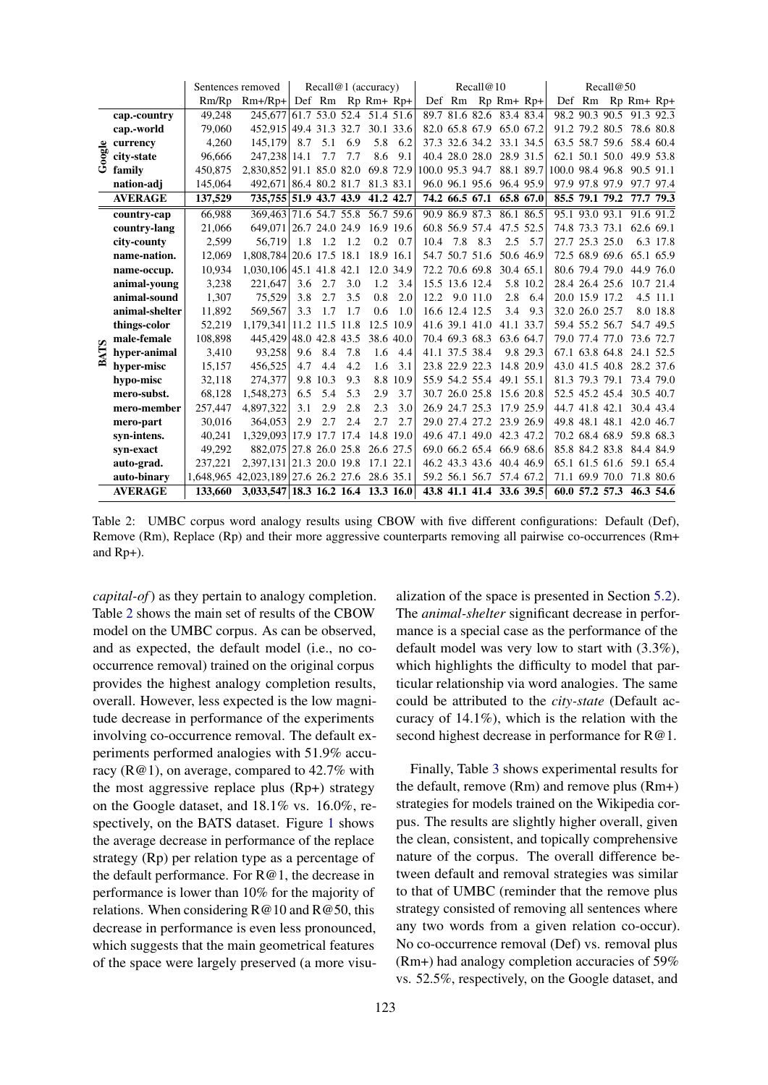<span id="page-4-0"></span>

|            |                |         | Sentences removed                             | Recall@1 (accuracy) |                |     | Recall@10         |      |                 |                | Recall@50      |                          |           |                 |                |                |                   |           |
|------------|----------------|---------|-----------------------------------------------|---------------------|----------------|-----|-------------------|------|-----------------|----------------|----------------|--------------------------|-----------|-----------------|----------------|----------------|-------------------|-----------|
|            |                | Rm/Rp   | $Rm+/Rp+$                                     |                     |                |     | Def Rm Rp Rm+ Rp+ |      |                 |                |                | Def Rm Rp Rm+ Rp+        |           |                 |                |                | Def Rm Rp Rm+ Rp+ |           |
|            | cap.-country   | 49.248  | 245.677 61.7 53.0 52.4 51.4 51.6              |                     |                |     |                   |      |                 |                |                | 89.7 81.6 82.6 83.4 83.4 |           |                 |                | 98.2 90.3 90.5 |                   | 91.3 92.3 |
|            | cap.-world     | 79,060  | 452,915 49.4 31.3 32.7 30.1 33.6              |                     |                |     |                   |      |                 |                | 82.0 65.8 67.9 |                          | 65.0 67.2 |                 | 91.2 79.2 80.5 |                |                   | 78.6 80.8 |
| ≗          | currency       | 4.260   | 145,179                                       | 8.7                 | 5.1            | 6.9 | 5.8               | 6.2  |                 |                | 37.3 32.6 34.2 |                          | 33.1 34.5 |                 |                | 63.5 58.7 59.6 |                   | 58.4 60.4 |
| ष्ट्र<br>इ | city-state     | 96,666  | 247.238                                       | 14.1                | 7.7            | 7.7 | 8.6               | 9.1  |                 |                | 40.4 28.0 28.0 |                          | 28.9 31.5 |                 |                | 62.1 50.1 50.0 |                   | 49.9 53.8 |
|            | family         | 450,875 | 2.830.852 91.1 85.0 82.0                      |                     |                |     | 69.8 72.9         |      | 100.0 95.3 94.7 |                |                |                          | 88.1 89.7 | 100.0 98.4 96.8 |                |                |                   | 90.5 91.1 |
|            | nation-adj     | 145,064 | 492.671 86.4 80.2 81.7                        |                     |                |     | 81.3 83.1         |      |                 |                | 96.0 96.1 95.6 |                          | 96.4 95.9 |                 | 97.9 97.8 97.9 |                |                   | 97.7 97.4 |
|            | <b>AVERAGE</b> | 137,529 | 735,755 51.9 43.7 43.9                        |                     |                |     | 41.2 42.7         |      |                 |                | 74.2 66.5 67.1 |                          | 65.8 67.0 |                 | 85.5 79.1 79.2 |                |                   | 77.7 79.3 |
|            | country-cap    | 66.988  | 369, 463 71.6 54.7 55.8 56.7 59.6             |                     |                |     |                   |      | 90.9 86.9 87.3  |                |                |                          | 86.1 86.5 |                 | 95.1 93.0 93.1 |                |                   | 91.6 91.2 |
|            | country-lang   | 21.066  | 649,071 26.7 24.0 24.9                        |                     |                |     | 16.9 19.6         |      |                 |                | 60.8 56.9 57.4 |                          | 47.5 52.5 |                 | 74.8 73.3 73.1 |                |                   | 62.6 69.1 |
|            | city-county    | 2.599   | 56.719                                        | 1.8                 | 1.2            | 1.2 | 0.2               | 0.7  | 10.4            | 7.8            | 8.3            | 2.5                      | 5.7       |                 | 27.7 25.3 25.0 |                |                   | 6.3 17.8  |
|            | name-nation.   | 12.069  | 1.808.784 20.6 17.5 18.1                      |                     |                |     | 18.9 16.1         |      |                 |                | 54.7 50.7 51.6 |                          | 50.6 46.9 |                 | 72.5 68.9 69.6 |                |                   | 65.1 65.9 |
|            | name-occup.    | 10,934  | 1,030,106 45.1 41.8 42.1                      |                     |                |     | 12.0 34.9         |      |                 |                | 72.2 70.6 69.8 |                          | 30.4 65.1 |                 | 80.6 79.4 79.0 |                |                   | 44.9 76.0 |
|            | animal-young   | 3,238   | 221.647                                       | 3.6                 | 2.7            | 3.0 | 1.2               | 3.4  |                 | 15.5 13.6 12.4 |                |                          | 5.8 10.2  |                 | 28.4 26.4 25.6 |                |                   | 10.7 21.4 |
|            | animal-sound   | 1.307   | 75.529                                        | 3.8                 | 2.7            | 3.5 | 0.8               | 2.0  | 12.2            |                | 9.0 11.0       | 2.8                      | 6.4       |                 | 20.0 15.9 17.2 |                |                   | 4.5 11.1  |
|            | animal-shelter | 11.892  | 569.567                                       | 3.3                 | 1.7            | 1.7 | 0.6               | 1.0  |                 | 16.6 12.4 12.5 |                | 3.4                      | 9.3       |                 | 32.0 26.0 25.7 |                |                   | 8.0 18.8  |
|            | things-color   | 52,219  | 1,179,341                                     |                     | 11.2 11.5 11.8 |     | 12.5 10.9         |      |                 |                | 41.6 39.1 41.0 |                          | 41.1 33.7 |                 | 59.4 55.2 56.7 |                |                   | 54.7 49.5 |
|            | male-female    | 108,898 | 445,429                                       |                     | 48.0 42.8 43.5 |     | 38.6 40.0         |      |                 | 70.4 69.3 68.3 |                |                          | 63.6 64.7 |                 | 79.0 77.4 77.0 |                |                   | 73.6 72.7 |
| <b>ATS</b> | hyper-animal   | 3,410   | 93,258                                        | 9.6                 | 8.4            | 7.8 | 1.6               | 4.4  |                 | 41.1 37.5 38.4 |                |                          | 9.8 29.3  |                 | 67.1 63.8 64.8 |                |                   | 24.1 52.5 |
| ≃          | hyper-misc     | 15.157  | 456,525                                       | 4.7                 | 4.4            | 4.2 | 1.6               | 3.1  |                 | 23.8 22.9 22.3 |                |                          | 14.8 20.9 |                 | 43.0 41.5 40.8 |                |                   | 28.2 37.6 |
|            | hypo-misc      | 32.118  | 274,377                                       | 9.8                 | 10.3           | 9.3 | 8.8               | 10.9 |                 |                | 55.9 54.2 55.4 |                          | 49.1 55.1 |                 | 81.3 79.3 79.1 |                |                   | 73.4 79.0 |
|            | mero-subst.    | 68,128  | 1,548,273                                     | 6.5                 | 5.4            | 5.3 | 2.9               | 3.7  |                 | 30.7 26.0 25.8 |                |                          | 15.6 20.8 |                 |                | 52.5 45.2 45.4 |                   | 30.5 40.7 |
|            | mero-member    | 257,447 | 4,897,322                                     | 3.1                 | 2.9            | 2.8 | 2.3               | 3.0  |                 | 26.9 24.7 25.3 |                |                          | 17.9 25.9 |                 | 44.7 41.8 42.1 |                |                   | 30.4 43.4 |
|            | mero-part      | 30.016  | 364.053                                       | 2.9                 | 2.7            | 2.4 | 2.7               | 2.7  |                 |                | 29.0 27.4 27.2 |                          | 23.9 26.9 |                 | 49.8 48.1 48.1 |                |                   | 42.0 46.7 |
|            | syn-intens.    | 40,241  | 1,329,093                                     |                     | 17.9 17.7 17.4 |     | 14.8 19.0         |      |                 |                | 49.6 47.1 49.0 |                          | 42.3 47.2 |                 | 70.2 68.4 68.9 |                |                   | 59.8 68.3 |
|            | syn-exact      | 49.292  | 882,075 27.8 26.0 25.8                        |                     |                |     | 26.6 27.5         |      |                 |                |                | 69.0 66.2 65.4 66.9 68.6 |           |                 |                | 85.8 84.2 83.8 |                   | 84.4 84.9 |
|            | auto-grad.     | 237.221 | 2,397,131 21.3 20.0 19.8                      |                     |                |     | 17.1 22.1         |      |                 |                | 46.2 43.3 43.6 |                          | 40.4 46.9 |                 |                | 65.1 61.5 61.6 |                   | 59.1 65.4 |
|            | auto-binary    |         | 1.648.965 42.023.189 27.6 26.2 27.6 28.6 35.1 |                     |                |     |                   |      |                 |                | 59.2 56.1 56.7 |                          | 57.4 67.2 |                 |                | 71.1 69.9 70.0 |                   | 71.8 80.6 |
|            | <b>AVERAGE</b> | 133,660 | 3,033,547 18.3 16.2 16.4 13.3 16.0            |                     |                |     |                   |      |                 |                |                | 43.8 41.1 41.4 33.6 39.5 |           |                 |                | 60.0 57.2 57.3 |                   | 46.3 54.6 |

Table 2: UMBC corpus word analogy results using CBOW with five different configurations: Default (Def), Remove (Rm), Replace (Rp) and their more aggressive counterparts removing all pairwise co-occurrences (Rm+ and Rp+).

*capital-of*) as they pertain to analogy completion. Table [2](#page-4-0) shows the main set of results of the CBOW model on the UMBC corpus. As can be observed, and as expected, the default model (i.e., no cooccurrence removal) trained on the original corpus provides the highest analogy completion results, overall. However, less expected is the low magnitude decrease in performance of the experiments involving co-occurrence removal. The default experiments performed analogies with 51.9% accuracy (R@1), on average, compared to 42.7% with the most aggressive replace plus (Rp+) strategy on the Google dataset, and 18.1% vs. 16.0%, respectively, on the BATS dataset. Figure [1](#page-5-0) shows the average decrease in performance of the replace strategy (Rp) per relation type as a percentage of the default performance. For R@1, the decrease in performance is lower than 10% for the majority of relations. When considering  $R@10$  and  $R@50$ , this decrease in performance is even less pronounced, which suggests that the main geometrical features of the space were largely preserved (a more visu-

alization of the space is presented in Section [5.2\)](#page-6-0). The *animal-shelter* significant decrease in performance is a special case as the performance of the default model was very low to start with (3.3%), which highlights the difficulty to model that particular relationship via word analogies. The same could be attributed to the *city-state* (Default accuracy of 14.1%), which is the relation with the second highest decrease in performance for  $R@1$ .

Finally, Table [3](#page-6-1) shows experimental results for the default, remove (Rm) and remove plus (Rm+) strategies for models trained on the Wikipedia corpus. The results are slightly higher overall, given the clean, consistent, and topically comprehensive nature of the corpus. The overall difference between default and removal strategies was similar to that of UMBC (reminder that the remove plus strategy consisted of removing all sentences where any two words from a given relation co-occur). No co-occurrence removal (Def) vs. removal plus (Rm+) had analogy completion accuracies of 59% vs. 52.5%, respectively, on the Google dataset, and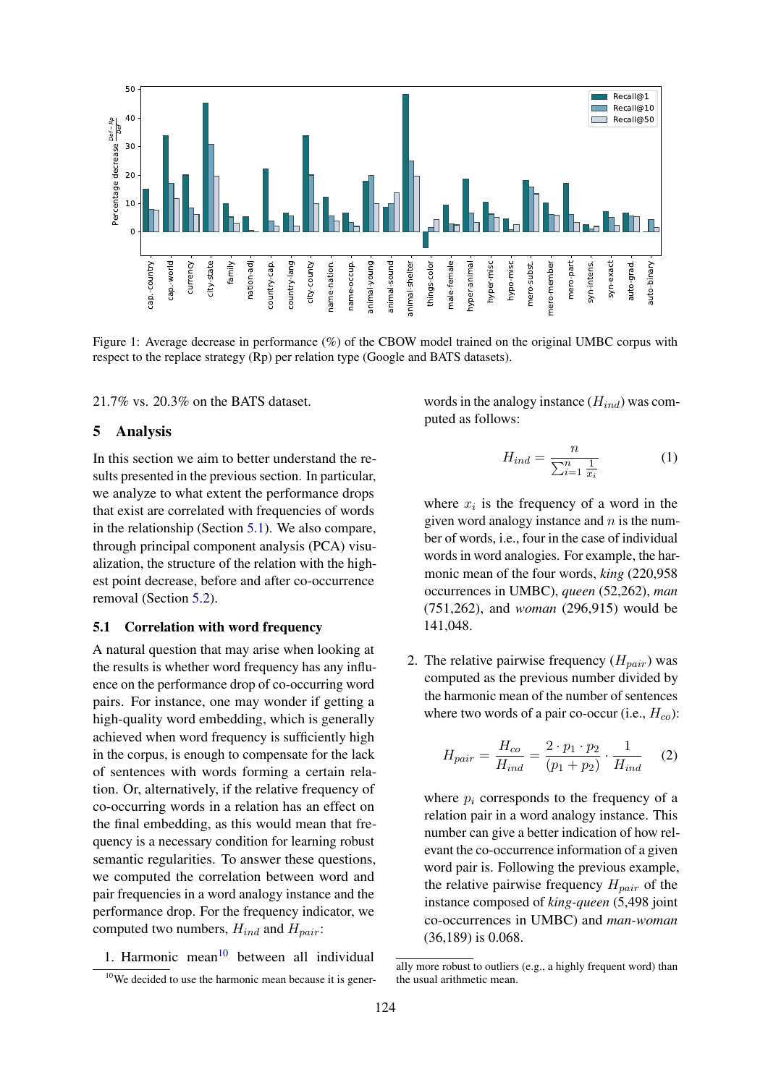<span id="page-5-0"></span>

Figure 1: Average decrease in performance (%) of the CBOW model trained on the original UMBC corpus with respect to the replace strategy (Rp) per relation type (Google and BATS datasets).

21.7% vs. 20.3% on the BATS dataset.

#### 5 Analysis

In this section we aim to better understand the results presented in the previous section. In particular, we analyze to what extent the performance drops that exist are correlated with frequencies of words in the relationship (Section [5.1\)](#page-5-1). We also compare, through principal component analysis (PCA) visualization, the structure of the relation with the highest point decrease, before and after co-occurrence removal (Section [5.2\)](#page-6-0).

#### <span id="page-5-1"></span>5.1 Correlation with word frequency

A natural question that may arise when looking at the results is whether word frequency has any influence on the performance drop of co-occurring word pairs. For instance, one may wonder if getting a high-quality word embedding, which is generally achieved when word frequency is sufficiently high in the corpus, is enough to compensate for the lack of sentences with words forming a certain relation. Or, alternatively, if the relative frequency of co-occurring words in a relation has an effect on the final embedding, as this would mean that frequency is a necessary condition for learning robust semantic regularities. To answer these questions, we computed the correlation between word and pair frequencies in a word analogy instance and the performance drop. For the frequency indicator, we computed two numbers,  $H_{ind}$  and  $H_{pair}$ :

1. Harmonic mean $10$  between all individual

words in the analogy instance  $(H_{ind})$  was computed as follows:

$$
H_{ind} = \frac{n}{\sum_{i=1}^{n} \frac{1}{x_i}} \tag{1}
$$

where  $x_i$  is the frequency of a word in the given word analogy instance and  $n$  is the number of words, i.e., four in the case of individual words in word analogies. For example, the harmonic mean of the four words, *king* (220,958 occurrences in UMBC), *queen* (52,262), *man* (751,262), and *woman* (296,915) would be 141,048.

2. The relative pairwise frequency  $(H_{pair})$  was computed as the previous number divided by the harmonic mean of the number of sentences where two words of a pair co-occur (i.e.,  $H_{co}$ ):

$$
H_{pair} = \frac{H_{co}}{H_{ind}} = \frac{2 \cdot p_1 \cdot p_2}{(p_1 + p_2)} \cdot \frac{1}{H_{ind}} \quad (2)
$$

where  $p_i$  corresponds to the frequency of a relation pair in a word analogy instance. This number can give a better indication of how relevant the co-occurrence information of a given word pair is. Following the previous example, the relative pairwise frequency  $H_{pair}$  of the instance composed of *king-queen* (5,498 joint co-occurrences in UMBC) and *man-woman* (36,189) is 0.068.

 $10$ We decided to use the harmonic mean because it is gener-

ally more robust to outliers (e.g., a highly frequent word) than the usual arithmetic mean.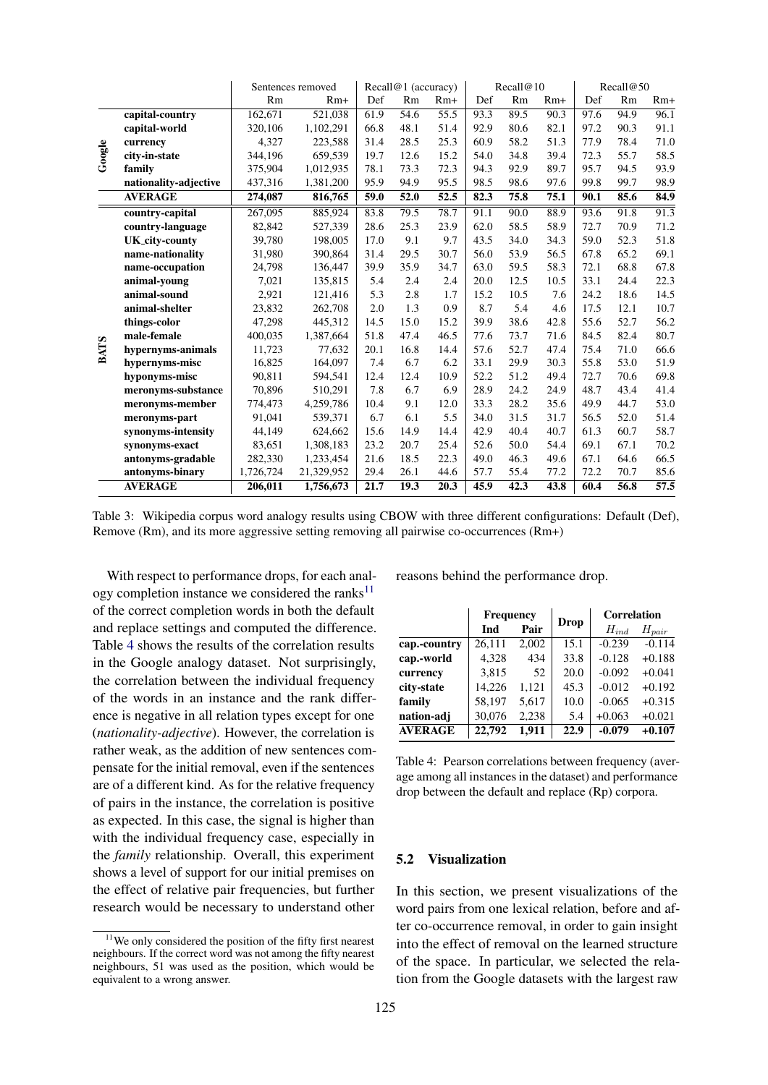<span id="page-6-1"></span>

|             |                       | Sentences removed | Recall@1 (accuracy) |      |      |       | Recall@10 |      | Recall@50 |      |           |                   |
|-------------|-----------------------|-------------------|---------------------|------|------|-------|-----------|------|-----------|------|-----------|-------------------|
|             |                       | Rm                | $Rm+$               | Def  | Rm   | $Rm+$ | Def       | Rm   | $Rm+$     | Def  | <b>Rm</b> | $Rm+$             |
| Google      | capital-country       | 162,671           | 521,038             | 61.9 | 54.6 | 55.5  | 93.3      | 89.5 | 90.3      | 97.6 | 94.9      | 96.1              |
|             | capital-world         | 320.106           | 1,102,291           | 66.8 | 48.1 | 51.4  | 92.9      | 80.6 | 82.1      | 97.2 | 90.3      | 91.1              |
|             | currency              | 4,327             | 223,588             | 31.4 | 28.5 | 25.3  | 60.9      | 58.2 | 51.3      | 77.9 | 78.4      | 71.0              |
|             | city-in-state         | 344,196           | 659,539             | 19.7 | 12.6 | 15.2  | 54.0      | 34.8 | 39.4      | 72.3 | 55.7      | 58.5              |
|             | family                | 375,904           | 1,012,935           | 78.1 | 73.3 | 72.3  | 94.3      | 92.9 | 89.7      | 95.7 | 94.5      | 93.9              |
|             | nationality-adjective | 437,316           | 1,381,200           | 95.9 | 94.9 | 95.5  | 98.5      | 98.6 | 97.6      | 99.8 | 99.7      | 98.9              |
|             | <b>AVERAGE</b>        | 274,087           | 816,765             | 59.0 | 52.0 | 52.5  | 82.3      | 75.8 | 75.1      | 90.1 | 85.6      | 84.9              |
|             | country-capital       | 267,095           | 885,924             | 83.8 | 79.5 | 78.7  | 91.1      | 90.0 | 88.9      | 93.6 | 91.8      | $\overline{91.3}$ |
|             | country-language      | 82,842            | 527,339             | 28.6 | 25.3 | 23.9  | 62.0      | 58.5 | 58.9      | 72.7 | 70.9      | 71.2              |
|             | <b>UK_city-county</b> | 39,780            | 198,005             | 17.0 | 9.1  | 9.7   | 43.5      | 34.0 | 34.3      | 59.0 | 52.3      | 51.8              |
|             | name-nationality      | 31,980            | 390,864             | 31.4 | 29.5 | 30.7  | 56.0      | 53.9 | 56.5      | 67.8 | 65.2      | 69.1              |
|             | name-occupation       | 24,798            | 136,447             | 39.9 | 35.9 | 34.7  | 63.0      | 59.5 | 58.3      | 72.1 | 68.8      | 67.8              |
|             | animal-young          | 7,021             | 135.815             | 5.4  | 2.4  | 2.4   | 20.0      | 12.5 | 10.5      | 33.1 | 24.4      | 22.3              |
|             | animal-sound          | 2,921             | 121,416             | 5.3  | 2.8  | 1.7   | 15.2      | 10.5 | 7.6       | 24.2 | 18.6      | 14.5              |
|             | animal-shelter        | 23,832            | 262,708             | 2.0  | 1.3  | 0.9   | 8.7       | 5.4  | 4.6       | 17.5 | 12.1      | 10.7              |
|             | things-color          | 47,298            | 445,312             | 14.5 | 15.0 | 15.2  | 39.9      | 38.6 | 42.8      | 55.6 | 52.7      | 56.2              |
|             | male-female           | 400.035           | 1,387,664           | 51.8 | 47.4 | 46.5  | 77.6      | 73.7 | 71.6      | 84.5 | 82.4      | 80.7              |
| <b>BATS</b> | hypernyms-animals     | 11,723            | 77,632              | 20.1 | 16.8 | 14.4  | 57.6      | 52.7 | 47.4      | 75.4 | 71.0      | 66.6              |
|             | hypernyms-misc        | 16,825            | 164,097             | 7.4  | 6.7  | 6.2   | 33.1      | 29.9 | 30.3      | 55.8 | 53.0      | 51.9              |
|             | hyponyms-misc         | 90,811            | 594,541             | 12.4 | 12.4 | 10.9  | 52.2      | 51.2 | 49.4      | 72.7 | 70.6      | 69.8              |
|             | meronyms-substance    | 70,896            | 510,291             | 7.8  | 6.7  | 6.9   | 28.9      | 24.2 | 24.9      | 48.7 | 43.4      | 41.4              |
|             | meronyms-member       | 774,473           | 4,259,786           | 10.4 | 9.1  | 12.0  | 33.3      | 28.2 | 35.6      | 49.9 | 44.7      | 53.0              |
|             | meronyms-part         | 91,041            | 539,371             | 6.7  | 6.1  | 5.5   | 34.0      | 31.5 | 31.7      | 56.5 | 52.0      | 51.4              |
|             | synonyms-intensity    | 44,149            | 624,662             | 15.6 | 14.9 | 14.4  | 42.9      | 40.4 | 40.7      | 61.3 | 60.7      | 58.7              |
|             | synonyms-exact        | 83,651            | 1,308,183           | 23.2 | 20.7 | 25.4  | 52.6      | 50.0 | 54.4      | 69.1 | 67.1      | 70.2              |
|             | antonyms-gradable     | 282,330           | 1,233,454           | 21.6 | 18.5 | 22.3  | 49.0      | 46.3 | 49.6      | 67.1 | 64.6      | 66.5              |
|             | antonyms-binary       | 1,726,724         | 21,329,952          | 29.4 | 26.1 | 44.6  | 57.7      | 55.4 | 77.2      | 72.2 | 70.7      | 85.6              |
|             | <b>AVERAGE</b>        | 206,011           | 1,756,673           | 21.7 | 19.3 | 20.3  | 45.9      | 42.3 | 43.8      | 60.4 | 56.8      | $\overline{57.5}$ |

Table 3: Wikipedia corpus word analogy results using CBOW with three different configurations: Default (Def), Remove (Rm), and its more aggressive setting removing all pairwise co-occurrences (Rm+)

With respect to performance drops, for each analogy completion instance we considered the ranks $11$ of the correct completion words in both the default and replace settings and computed the difference. Table [4](#page-6-2) shows the results of the correlation results in the Google analogy dataset. Not surprisingly, the correlation between the individual frequency of the words in an instance and the rank difference is negative in all relation types except for one (*nationality-adjective*). However, the correlation is rather weak, as the addition of new sentences compensate for the initial removal, even if the sentences are of a different kind. As for the relative frequency of pairs in the instance, the correlation is positive as expected. In this case, the signal is higher than with the individual frequency case, especially in the *family* relationship. Overall, this experiment shows a level of support for our initial premises on the effect of relative pair frequencies, but further research would be necessary to understand other

reasons behind the performance drop.

<span id="page-6-2"></span>

|                | Frequency |       |      | <b>Correlation</b> |            |  |  |
|----------------|-----------|-------|------|--------------------|------------|--|--|
|                | Ind       | Pair  | Drop | $H_{ind}$          | $H_{pair}$ |  |  |
| cap.-country   | 26.111    | 2.002 | 15.1 | $-0.239$           | $-0.114$   |  |  |
| cap.-world     | 4,328     | 434   | 33.8 | $-0.128$           | $+0.188$   |  |  |
| currency       | 3,815     | 52    | 20.0 | $-0.092$           | $+0.041$   |  |  |
| city-state     | 14,226    | 1.121 | 45.3 | $-0.012$           | $+0.192$   |  |  |
| family         | 58,197    | 5.617 | 10.0 | $-0.065$           | $+0.315$   |  |  |
| nation-adj     | 30,076    | 2.238 | 5.4  | $+0.063$           | $+0.021$   |  |  |
| <b>AVERAGE</b> | 22,792    | 1.911 | 22.9 | $-0.079$           | $+0.107$   |  |  |

Table 4: Pearson correlations between frequency (average among all instances in the dataset) and performance drop between the default and replace (Rp) corpora.

## <span id="page-6-0"></span>5.2 Visualization

In this section, we present visualizations of the word pairs from one lexical relation, before and after co-occurrence removal, in order to gain insight into the effect of removal on the learned structure of the space. In particular, we selected the relation from the Google datasets with the largest raw

 $11$ We only considered the position of the fifty first nearest neighbours. If the correct word was not among the fifty nearest neighbours, 51 was used as the position, which would be equivalent to a wrong answer.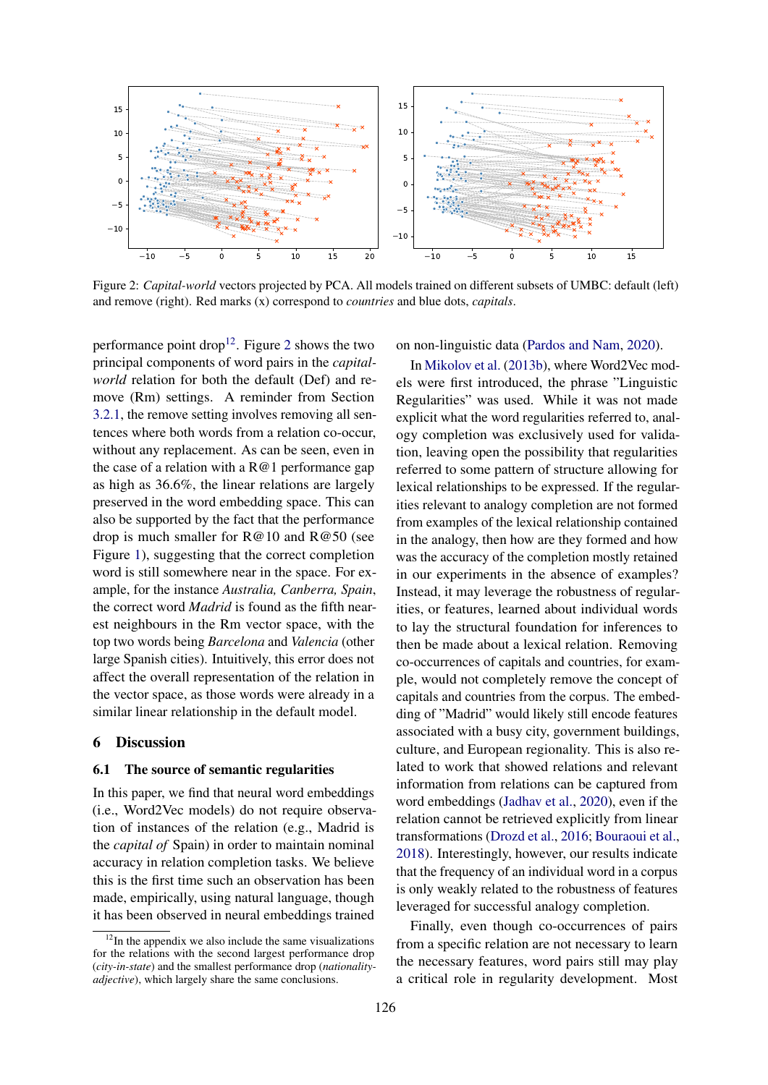<span id="page-7-0"></span>

Figure 2: *Capital-world* vectors projected by PCA. All models trained on different subsets of UMBC: default (left) and remove (right). Red marks (x) correspond to *countries* and blue dots, *capitals*.

performance point drop<sup>[12](#page-0-0)</sup>. Figure [2](#page-7-0) shows the two principal components of word pairs in the *capitalworld* relation for both the default (Def) and remove (Rm) settings. A reminder from Section [3.2.1,](#page-2-4) the remove setting involves removing all sentences where both words from a relation co-occur, without any replacement. As can be seen, even in the case of a relation with a  $R@1$  performance gap as high as 36.6%, the linear relations are largely preserved in the word embedding space. This can also be supported by the fact that the performance drop is much smaller for R@10 and R@50 (see Figure [1\)](#page-5-0), suggesting that the correct completion word is still somewhere near in the space. For example, for the instance *Australia, Canberra, Spain*, the correct word *Madrid* is found as the fifth nearest neighbours in the Rm vector space, with the top two words being *Barcelona* and *Valencia* (other large Spanish cities). Intuitively, this error does not affect the overall representation of the relation in the vector space, as those words were already in a similar linear relationship in the default model.

#### 6 Discussion

### 6.1 The source of semantic regularities

In this paper, we find that neural word embeddings (i.e., Word2Vec models) do not require observation of instances of the relation (e.g., Madrid is the *capital of* Spain) in order to maintain nominal accuracy in relation completion tasks. We believe this is the first time such an observation has been made, empirically, using natural language, though it has been observed in neural embeddings trained on non-linguistic data [\(Pardos and Nam,](#page-10-6) [2020\)](#page-10-6).

In [Mikolov et al.](#page-9-5) [\(2013b\)](#page-9-5), where Word2Vec models were first introduced, the phrase "Linguistic Regularities" was used. While it was not made explicit what the word regularities referred to, analogy completion was exclusively used for validation, leaving open the possibility that regularities referred to some pattern of structure allowing for lexical relationships to be expressed. If the regularities relevant to analogy completion are not formed from examples of the lexical relationship contained in the analogy, then how are they formed and how was the accuracy of the completion mostly retained in our experiments in the absence of examples? Instead, it may leverage the robustness of regularities, or features, learned about individual words to lay the structural foundation for inferences to then be made about a lexical relation. Removing co-occurrences of capitals and countries, for example, would not completely remove the concept of capitals and countries from the corpus. The embedding of "Madrid" would likely still encode features associated with a busy city, government buildings, culture, and European regionality. This is also related to work that showed relations and relevant information from relations can be captured from word embeddings [\(Jadhav et al.,](#page-9-15) [2020\)](#page-9-15), even if the relation cannot be retrieved explicitly from linear transformations [\(Drozd et al.,](#page-8-5) [2016;](#page-8-5) [Bouraoui et al.,](#page-8-6) [2018\)](#page-8-6). Interestingly, however, our results indicate that the frequency of an individual word in a corpus is only weakly related to the robustness of features leveraged for successful analogy completion.

Finally, even though co-occurrences of pairs from a specific relation are not necessary to learn the necessary features, word pairs still may play a critical role in regularity development. Most

 $12$ In the appendix we also include the same visualizations for the relations with the second largest performance drop (*city-in-state*) and the smallest performance drop (*nationalityadjective*), which largely share the same conclusions.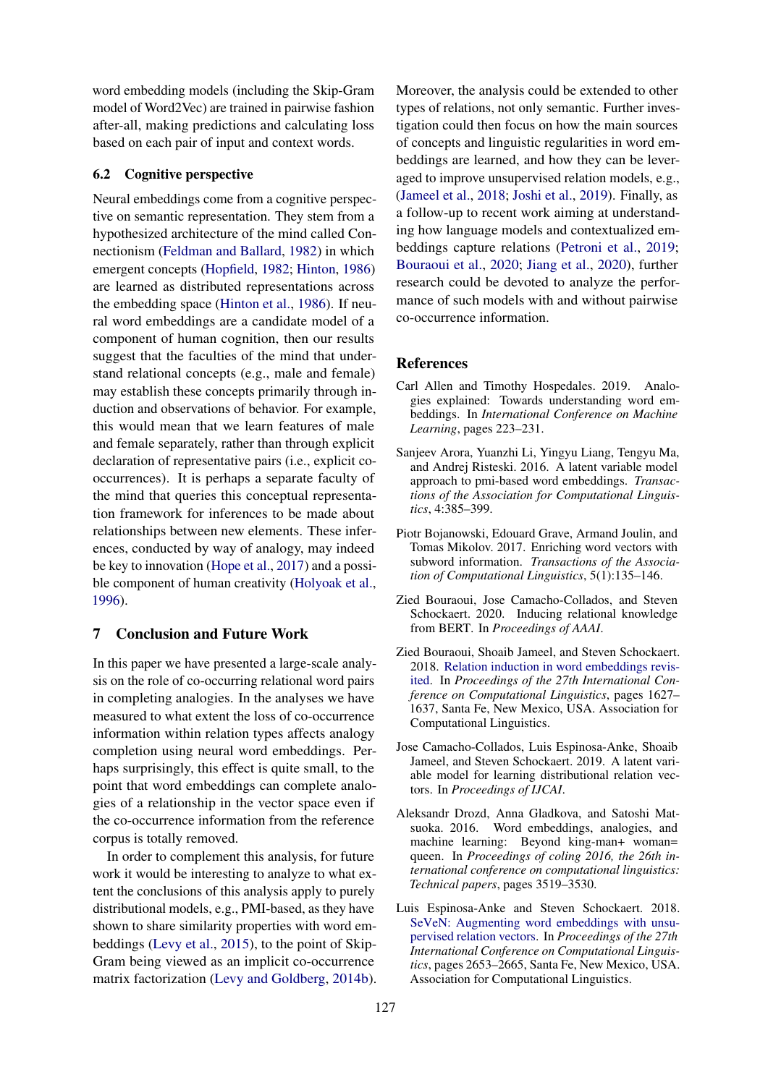word embedding models (including the Skip-Gram model of Word2Vec) are trained in pairwise fashion after-all, making predictions and calculating loss based on each pair of input and context words.

#### 6.2 Cognitive perspective

Neural embeddings come from a cognitive perspective on semantic representation. They stem from a hypothesized architecture of the mind called Connectionism [\(Feldman and Ballard,](#page-9-3) [1982\)](#page-9-3) in which emergent concepts [\(Hopfield,](#page-9-16) [1982;](#page-9-16) [Hinton,](#page-9-17) [1986\)](#page-9-17) are learned as distributed representations across the embedding space [\(Hinton et al.,](#page-9-2) [1986\)](#page-9-2). If neural word embeddings are a candidate model of a component of human cognition, then our results suggest that the faculties of the mind that understand relational concepts (e.g., male and female) may establish these concepts primarily through induction and observations of behavior. For example, this would mean that we learn features of male and female separately, rather than through explicit declaration of representative pairs (i.e., explicit cooccurrences). It is perhaps a separate faculty of the mind that queries this conceptual representation framework for inferences to be made about relationships between new elements. These inferences, conducted by way of analogy, may indeed be key to innovation [\(Hope et al.,](#page-9-18) [2017\)](#page-9-18) and a possible component of human creativity [\(Holyoak et al.,](#page-9-19) [1996\)](#page-9-19).

# 7 Conclusion and Future Work

In this paper we have presented a large-scale analysis on the role of co-occurring relational word pairs in completing analogies. In the analyses we have measured to what extent the loss of co-occurrence information within relation types affects analogy completion using neural word embeddings. Perhaps surprisingly, this effect is quite small, to the point that word embeddings can complete analogies of a relationship in the vector space even if the co-occurrence information from the reference corpus is totally removed.

In order to complement this analysis, for future work it would be interesting to analyze to what extent the conclusions of this analysis apply to purely distributional models, e.g., PMI-based, as they have shown to share similarity properties with word embeddings [\(Levy et al.,](#page-9-20) [2015\)](#page-9-20), to the point of Skip-Gram being viewed as an implicit co-occurrence matrix factorization [\(Levy and Goldberg,](#page-9-21) [2014b\)](#page-9-21).

Moreover, the analysis could be extended to other types of relations, not only semantic. Further investigation could then focus on how the main sources of concepts and linguistic regularities in word embeddings are learned, and how they can be leveraged to improve unsupervised relation models, e.g., [\(Jameel et al.,](#page-9-10) [2018;](#page-9-10) [Joshi et al.,](#page-9-11) [2019\)](#page-9-11). Finally, as a follow-up to recent work aiming at understanding how language models and contextualized embeddings capture relations [\(Petroni et al.,](#page-10-7) [2019;](#page-10-7) [Bouraoui et al.,](#page-8-7) [2020;](#page-8-7) [Jiang et al.,](#page-9-22) [2020\)](#page-9-22), further research could be devoted to analyze the performance of such models with and without pairwise co-occurrence information.

#### References

- <span id="page-8-2"></span>Carl Allen and Timothy Hospedales. 2019. Analogies explained: Towards understanding word embeddings. In *International Conference on Machine Learning*, pages 223–231.
- <span id="page-8-1"></span>Sanjeev Arora, Yuanzhi Li, Yingyu Liang, Tengyu Ma, and Andrej Risteski. 2016. A latent variable model approach to pmi-based word embeddings. *Transactions of the Association for Computational Linguistics*, 4:385–399.
- <span id="page-8-0"></span>Piotr Bojanowski, Edouard Grave, Armand Joulin, and Tomas Mikolov. 2017. Enriching word vectors with subword information. *Transactions of the Association of Computational Linguistics*, 5(1):135–146.
- <span id="page-8-7"></span>Zied Bouraoui, Jose Camacho-Collados, and Steven Schockaert. 2020. Inducing relational knowledge from BERT. In *Proceedings of AAAI*.
- <span id="page-8-6"></span>Zied Bouraoui, Shoaib Jameel, and Steven Schockaert. 2018. [Relation induction in word embeddings revis](https://www.aclweb.org/anthology/C18-1138)[ited.](https://www.aclweb.org/anthology/C18-1138) In *Proceedings of the 27th International Conference on Computational Linguistics*, pages 1627– 1637, Santa Fe, New Mexico, USA. Association for Computational Linguistics.
- <span id="page-8-4"></span>Jose Camacho-Collados, Luis Espinosa-Anke, Shoaib Jameel, and Steven Schockaert. 2019. A latent variable model for learning distributional relation vectors. In *Proceedings of IJCAI*.
- <span id="page-8-5"></span>Aleksandr Drozd, Anna Gladkova, and Satoshi Matsuoka. 2016. Word embeddings, analogies, and machine learning: Beyond king-man+ woman= queen. In *Proceedings of coling 2016, the 26th international conference on computational linguistics: Technical papers*, pages 3519–3530.
- <span id="page-8-3"></span>Luis Espinosa-Anke and Steven Schockaert. 2018. [SeVeN: Augmenting word embeddings with unsu](https://www.aclweb.org/anthology/C18-1225)[pervised relation vectors.](https://www.aclweb.org/anthology/C18-1225) In *Proceedings of the 27th International Conference on Computational Linguistics*, pages 2653–2665, Santa Fe, New Mexico, USA. Association for Computational Linguistics.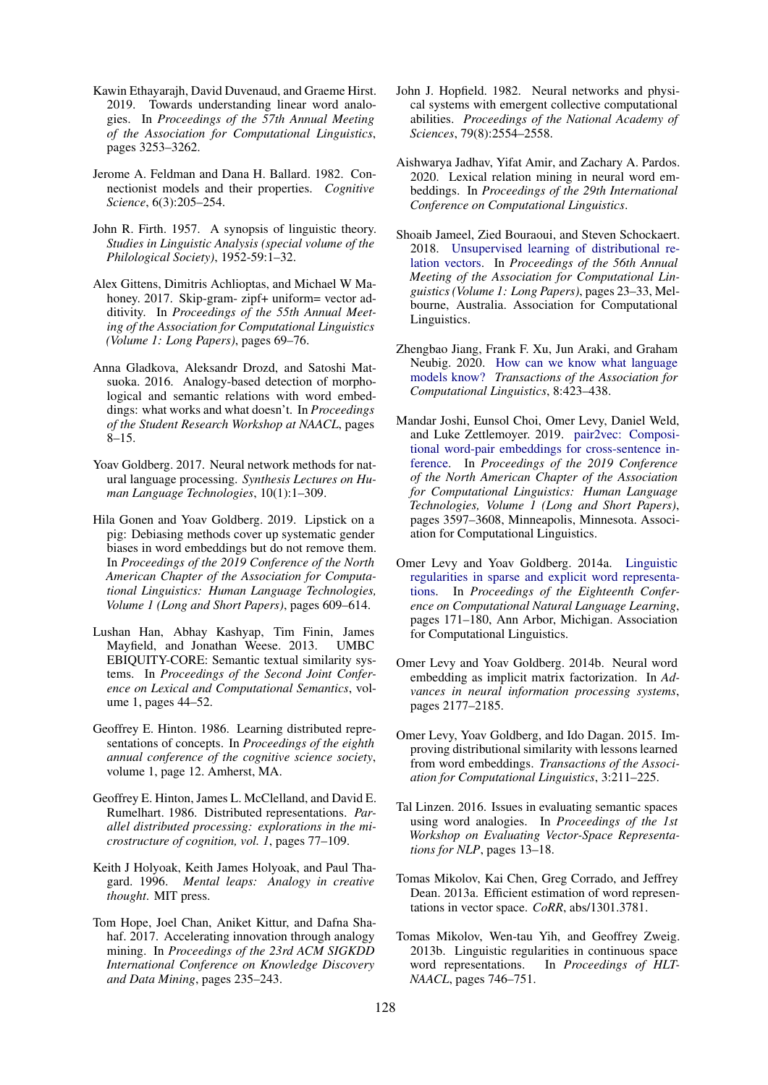- <span id="page-9-7"></span>Kawin Ethayarajh, David Duvenaud, and Graeme Hirst. 2019. Towards understanding linear word analogies. In *Proceedings of the 57th Annual Meeting of the Association for Computational Linguistics*, pages 3253–3262.
- <span id="page-9-3"></span>Jerome A. Feldman and Dana H. Ballard. 1982. Connectionist models and their properties. *Cognitive Science*, 6(3):205–254.
- <span id="page-9-0"></span>John R. Firth. 1957. A synopsis of linguistic theory. *Studies in Linguistic Analysis (special volume of the Philological Society)*, 1952-59:1–32.
- <span id="page-9-6"></span>Alex Gittens, Dimitris Achlioptas, and Michael W Mahoney. 2017. Skip-gram- zipf+ uniform= vector additivity. In *Proceedings of the 55th Annual Meeting of the Association for Computational Linguistics (Volume 1: Long Papers)*, pages 69–76.
- <span id="page-9-9"></span>Anna Gladkova, Aleksandr Drozd, and Satoshi Matsuoka. 2016. Analogy-based detection of morphological and semantic relations with word embeddings: what works and what doesn't. In *Proceedings of the Student Research Workshop at NAACL*, pages 8–15.
- <span id="page-9-4"></span>Yoav Goldberg. 2017. Neural network methods for natural language processing. *Synthesis Lectures on Human Language Technologies*, 10(1):1–309.
- <span id="page-9-13"></span>Hila Gonen and Yoav Goldberg. 2019. Lipstick on a pig: Debiasing methods cover up systematic gender biases in word embeddings but do not remove them. In *Proceedings of the 2019 Conference of the North American Chapter of the Association for Computational Linguistics: Human Language Technologies, Volume 1 (Long and Short Papers)*, pages 609–614.
- <span id="page-9-14"></span>Lushan Han, Abhay Kashyap, Tim Finin, James Mayfield, and Jonathan Weese. 2013. UMBC EBIQUITY-CORE: Semantic textual similarity systems. In *Proceedings of the Second Joint Conference on Lexical and Computational Semantics*, volume 1, pages 44–52.
- <span id="page-9-17"></span>Geoffrey E. Hinton. 1986. Learning distributed representations of concepts. In *Proceedings of the eighth annual conference of the cognitive science society*, volume 1, page 12. Amherst, MA.
- <span id="page-9-2"></span>Geoffrey E. Hinton, James L. McClelland, and David E. Rumelhart. 1986. Distributed representations. *Parallel distributed processing: explorations in the microstructure of cognition, vol. 1*, pages 77–109.
- <span id="page-9-19"></span>Keith J Holyoak, Keith James Holyoak, and Paul Thagard. 1996. *Mental leaps: Analogy in creative thought*. MIT press.
- <span id="page-9-18"></span>Tom Hope, Joel Chan, Aniket Kittur, and Dafna Shahaf. 2017. Accelerating innovation through analogy mining. In *Proceedings of the 23rd ACM SIGKDD International Conference on Knowledge Discovery and Data Mining*, pages 235–243.
- <span id="page-9-16"></span>John J. Hopfield. 1982. Neural networks and physical systems with emergent collective computational abilities. *Proceedings of the National Academy of Sciences*, 79(8):2554–2558.
- <span id="page-9-15"></span>Aishwarya Jadhav, Yifat Amir, and Zachary A. Pardos. 2020. Lexical relation mining in neural word embeddings. In *Proceedings of the 29th International Conference on Computational Linguistics*.
- <span id="page-9-10"></span>Shoaib Jameel, Zied Bouraoui, and Steven Schockaert. 2018. [Unsupervised learning of distributional re](https://doi.org/10.18653/v1/P18-1003)[lation vectors.](https://doi.org/10.18653/v1/P18-1003) In *Proceedings of the 56th Annual Meeting of the Association for Computational Linguistics (Volume 1: Long Papers)*, pages 23–33, Melbourne, Australia. Association for Computational Linguistics.
- <span id="page-9-22"></span>Zhengbao Jiang, Frank F. Xu, Jun Araki, and Graham Neubig. 2020. [How can we know what language](https://doi.org/10.1162/tacl_a_00324) [models know?](https://doi.org/10.1162/tacl_a_00324) *Transactions of the Association for Computational Linguistics*, 8:423–438.
- <span id="page-9-11"></span>Mandar Joshi, Eunsol Choi, Omer Levy, Daniel Weld, and Luke Zettlemoyer. 2019. [pair2vec: Composi](https://doi.org/10.18653/v1/N19-1362)[tional word-pair embeddings for cross-sentence in](https://doi.org/10.18653/v1/N19-1362)[ference.](https://doi.org/10.18653/v1/N19-1362) In *Proceedings of the 2019 Conference of the North American Chapter of the Association for Computational Linguistics: Human Language Technologies, Volume 1 (Long and Short Papers)*, pages 3597–3608, Minneapolis, Minnesota. Association for Computational Linguistics.
- <span id="page-9-12"></span>Omer Levy and Yoav Goldberg. 2014a. [Linguistic](https://doi.org/10.3115/v1/W14-1618) [regularities in sparse and explicit word representa](https://doi.org/10.3115/v1/W14-1618)[tions.](https://doi.org/10.3115/v1/W14-1618) In *Proceedings of the Eighteenth Conference on Computational Natural Language Learning*, pages 171–180, Ann Arbor, Michigan. Association for Computational Linguistics.
- <span id="page-9-21"></span>Omer Levy and Yoav Goldberg. 2014b. Neural word embedding as implicit matrix factorization. In *Advances in neural information processing systems*, pages 2177–2185.
- <span id="page-9-20"></span>Omer Levy, Yoav Goldberg, and Ido Dagan. 2015. Improving distributional similarity with lessons learned from word embeddings. *Transactions of the Association for Computational Linguistics*, 3:211–225.
- <span id="page-9-8"></span>Tal Linzen. 2016. Issues in evaluating semantic spaces using word analogies. In *Proceedings of the 1st Workshop on Evaluating Vector-Space Representations for NLP*, pages 13–18.
- <span id="page-9-1"></span>Tomas Mikolov, Kai Chen, Greg Corrado, and Jeffrey Dean. 2013a. Efficient estimation of word representations in vector space. *CoRR*, abs/1301.3781.
- <span id="page-9-5"></span>Tomas Mikolov, Wen-tau Yih, and Geoffrey Zweig. 2013b. Linguistic regularities in continuous space word representations. In *Proceedings of HLT-NAACL*, pages 746–751.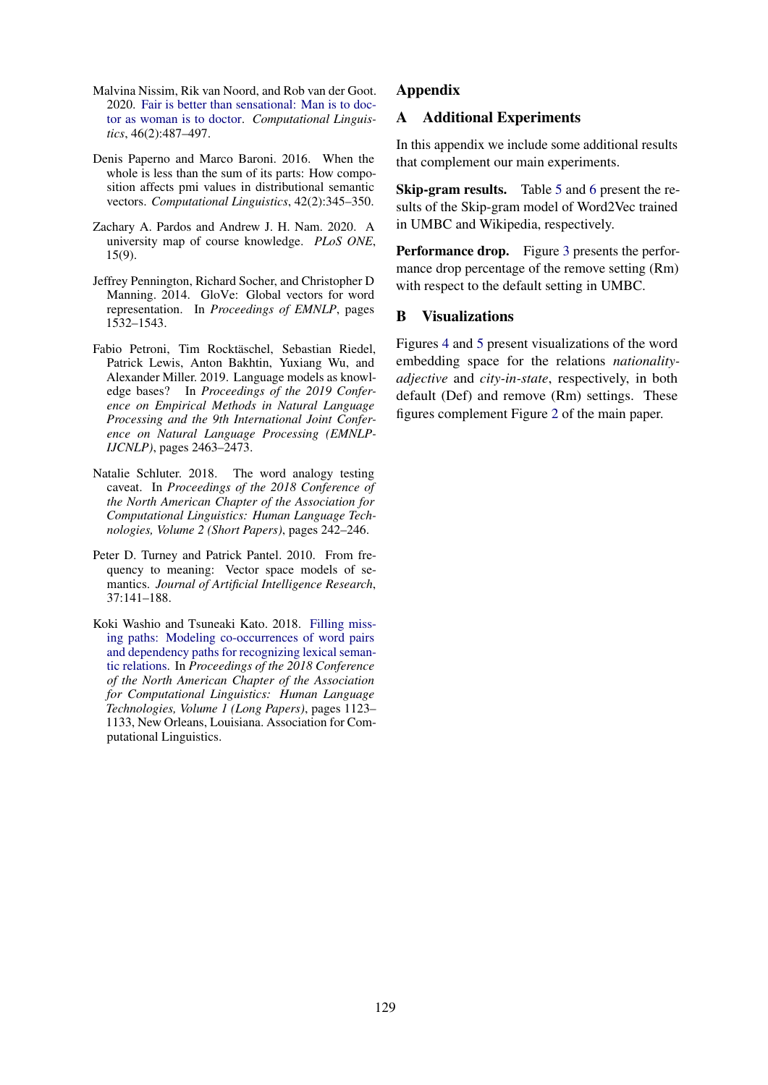- <span id="page-10-2"></span>Malvina Nissim, Rik van Noord, and Rob van der Goot. 2020. [Fair is better than sensational: Man is to doc](https://doi.org/10.1162/coli_a_00379)[tor as woman is to doctor.](https://doi.org/10.1162/coli_a_00379) *Computational Linguistics*, 46(2):487–497.
- <span id="page-10-4"></span>Denis Paperno and Marco Baroni. 2016. When the whole is less than the sum of its parts: How composition affects pmi values in distributional semantic vectors. *Computational Linguistics*, 42(2):345–350.
- <span id="page-10-6"></span>Zachary A. Pardos and Andrew J. H. Nam. 2020. A university map of course knowledge. *PLoS ONE*, 15(9).
- <span id="page-10-1"></span>Jeffrey Pennington, Richard Socher, and Christopher D Manning. 2014. GloVe: Global vectors for word representation. In *Proceedings of EMNLP*, pages 1532–1543.
- <span id="page-10-7"></span>Fabio Petroni, Tim Rocktäschel, Sebastian Riedel, Patrick Lewis, Anton Bakhtin, Yuxiang Wu, and Alexander Miller. 2019. Language models as knowledge bases? In *Proceedings of the 2019 Conference on Empirical Methods in Natural Language Processing and the 9th International Joint Conference on Natural Language Processing (EMNLP-IJCNLP)*, pages 2463–2473.
- <span id="page-10-5"></span>Natalie Schluter. 2018. The word analogy testing caveat. In *Proceedings of the 2018 Conference of the North American Chapter of the Association for Computational Linguistics: Human Language Technologies, Volume 2 (Short Papers)*, pages 242–246.
- <span id="page-10-0"></span>Peter D. Turney and Patrick Pantel. 2010. From frequency to meaning: Vector space models of semantics. *Journal of Artificial Intelligence Research*, 37:141–188.
- <span id="page-10-3"></span>Koki Washio and Tsuneaki Kato. 2018. [Filling miss](https://doi.org/10.18653/v1/N18-1102)[ing paths: Modeling co-occurrences of word pairs](https://doi.org/10.18653/v1/N18-1102) [and dependency paths for recognizing lexical seman](https://doi.org/10.18653/v1/N18-1102)[tic relations.](https://doi.org/10.18653/v1/N18-1102) In *Proceedings of the 2018 Conference of the North American Chapter of the Association for Computational Linguistics: Human Language Technologies, Volume 1 (Long Papers)*, pages 1123– 1133, New Orleans, Louisiana. Association for Computational Linguistics.

## Appendix

# A Additional Experiments

In this appendix we include some additional results that complement our main experiments.

Skip-gram results. Table [5](#page-11-0) and [6](#page-11-1) present the results of the Skip-gram model of Word2Vec trained in UMBC and Wikipedia, respectively.

Performance drop. Figure [3](#page-11-2) presents the performance drop percentage of the remove setting (Rm) with respect to the default setting in UMBC.

## B Visualizations

Figures [4](#page-12-0) and [5](#page-12-1) present visualizations of the word embedding space for the relations *nationalityadjective* and *city-in-state*, respectively, in both default (Def) and remove (Rm) settings. These figures complement Figure [2](#page-7-0) of the main paper.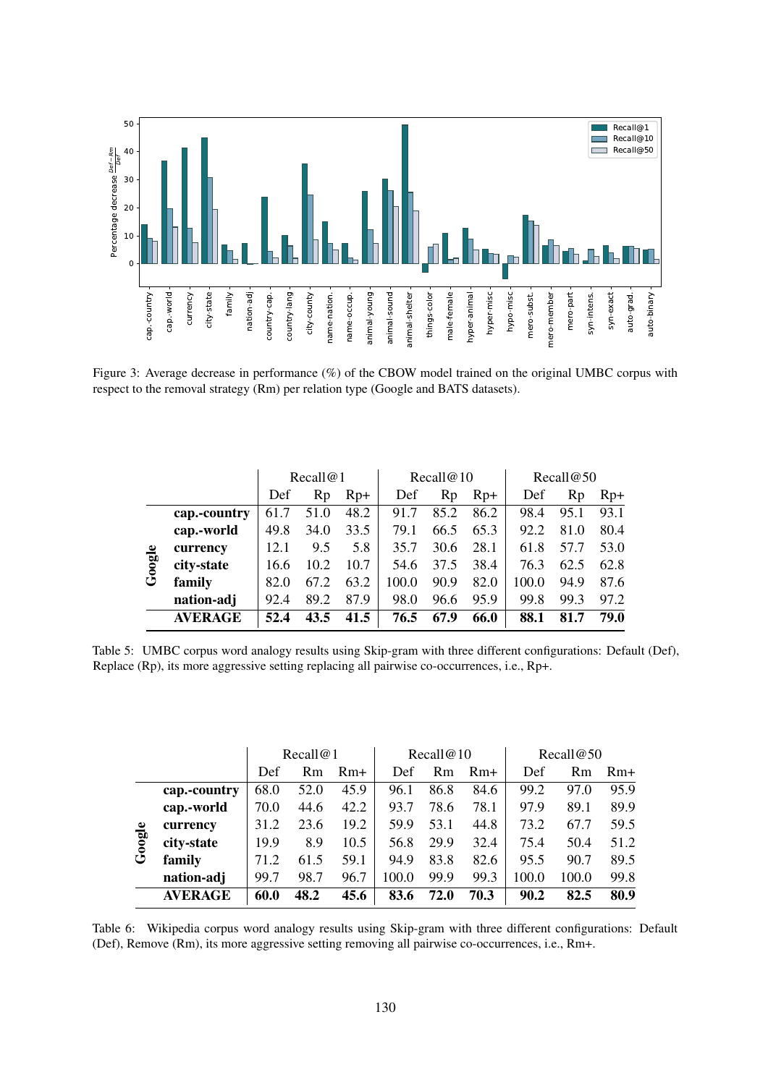<span id="page-11-2"></span>

Figure 3: Average decrease in performance (%) of the CBOW model trained on the original UMBC corpus with respect to the removal strategy (Rm) per relation type (Google and BATS datasets).

<span id="page-11-0"></span>

|        |                | Recall@1 |      |       |       | Recall@10 |       | Recall@50 |      |       |  |
|--------|----------------|----------|------|-------|-------|-----------|-------|-----------|------|-------|--|
|        |                | Def      | Rp   | $Rp+$ | Def   | Rp        | $Rp+$ | Def       | Rp   | $Rp+$ |  |
|        | cap.-country   | 61.7     | 51.0 | 48.2  | 91.7  | 85.2      | 86.2  | 98.4      | 95.1 | 93.1  |  |
|        | cap.-world     | 49.8     | 34.0 | 33.5  | 79.1  | 66.5      | 65.3  | 92.2      | 81.0 | 80.4  |  |
|        | currency       | 12.1     | 9.5  | 5.8   | 35.7  | 30.6      | 28.1  | 61.8      | 57.7 | 53.0  |  |
| Google | city-state     | 16.6     | 10.2 | 10.7  | 54.6  | 37.5      | 38.4  | 76.3      | 62.5 | 62.8  |  |
|        | family         | 82.0     | 67.2 | 63.2  | 100.0 | 90.9      | 82.0  | 100.0     | 94.9 | 87.6  |  |
|        | nation-adj     | 92.4     | 89.2 | 87.9  | 98.0  | 96.6      | 95.9  | 99.8      | 99.3 | 97.2  |  |
|        | <b>AVERAGE</b> | 52.4     | 43.5 | 41.5  | 76.5  | 67.9      | 66.0  | 88.1      | 81.7 | 79.0  |  |

Table 5: UMBC corpus word analogy results using Skip-gram with three different configurations: Default (Def), Replace (Rp), its more aggressive setting replacing all pairwise co-occurrences, i.e., Rp+.

<span id="page-11-1"></span>

|       |                | Recall@1 |                |       |       | Recall@10      |       | Recall@50 |       |       |  |
|-------|----------------|----------|----------------|-------|-------|----------------|-------|-----------|-------|-------|--|
|       |                | Def      | R <sub>m</sub> | $Rm+$ | Def   | R <sub>m</sub> | $Rm+$ | Def       | Rm    | $Rm+$ |  |
|       | cap.-country   | 68.0     | 52.0           | 45.9  | 96.1  | 86.8           | 84.6  | 99.2      | 97.0  | 95.9  |  |
|       | cap.-world     | 70.0     | 44.6           | 42.2  | 93.7  | 78.6           | 78.1  | 97.9      | 89.1  | 89.9  |  |
|       | currency       | 31.2     | 23.6           | 19.2  | 59.9  | 53.1           | 44.8  | 73.2      | 67.7  | 59.5  |  |
| oogle | city-state     | 19.9     | 8.9            | 10.5  | 56.8  | 29.9           | 32.4  | 75.4      | 50.4  | 51.2  |  |
| ق     | family         | 71.2     | 61.5           | 59.1  | 94.9  | 83.8           | 82.6  | 95.5      | 90.7  | 89.5  |  |
|       | nation-adj     | 99.7     | 98.7           | 96.7  | 100.0 | 99.9           | 99.3  | 100.0     | 100.0 | 99.8  |  |
|       | <b>AVERAGE</b> | 60.0     | 48.2           | 45.6  | 83.6  | 72.0           | 70.3  | 90.2      | 82.5  | 80.9  |  |

Table 6: Wikipedia corpus word analogy results using Skip-gram with three different configurations: Default (Def), Remove (Rm), its more aggressive setting removing all pairwise co-occurrences, i.e., Rm+.